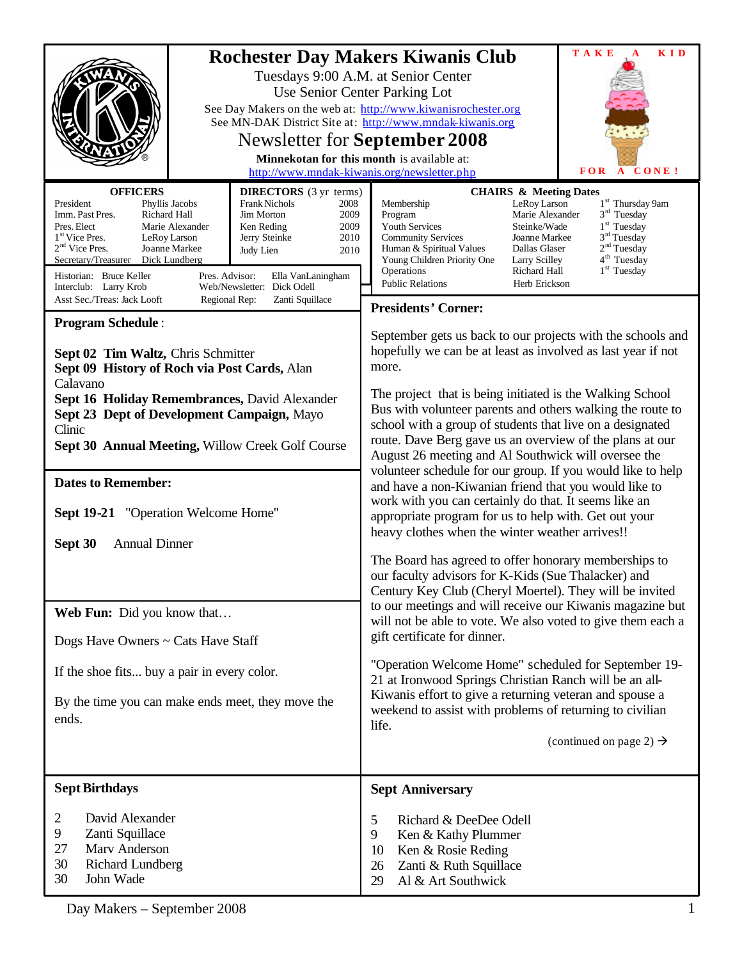|                                                                                                                                                                                                                                                                                                                                                                                                                                                                                                                                    | <b>TAKE</b><br><b>KID</b><br><b>Rochester Day Makers Kiwanis Club</b><br>Tuesdays 9:00 A.M. at Senior Center<br>Use Senior Center Parking Lot<br>See Day Makers on the web at: http://www.kiwanisrochester.org<br>See MN-DAK District Site at: http://www.mndak-kiwanis.org<br>Newsletter for <b>September 2008</b><br>Minnekotan for this month is available at:<br>http://www.mndak-kiwanis.org/newsletter.php<br><b>FOR</b><br>A CONE!                                                                                          |
|------------------------------------------------------------------------------------------------------------------------------------------------------------------------------------------------------------------------------------------------------------------------------------------------------------------------------------------------------------------------------------------------------------------------------------------------------------------------------------------------------------------------------------|------------------------------------------------------------------------------------------------------------------------------------------------------------------------------------------------------------------------------------------------------------------------------------------------------------------------------------------------------------------------------------------------------------------------------------------------------------------------------------------------------------------------------------|
| <b>OFFICERS</b><br><b>DIRECTORS</b> (3 yr terms)<br><b>Frank Nichols</b><br>President<br>Phyllis Jacobs<br>2008<br>Imm. Past Pres.<br>Richard Hall<br>Jim Morton<br>2009<br>Pres. Elect<br>Marie Alexander<br>Ken Reding<br>2009<br>1 <sup>st</sup> Vice Pres.<br>Jerry Steinke<br>2010<br>LeRoy Larson<br>$2nd$ Vice Pres.<br>Joanne Markee<br>Judy Lien<br>2010<br>Dick Lundberg<br>Secretary/Treasurer<br>Historian: Bruce Keller<br>Pres. Advisor:<br>Ella VanLaningham<br>Web/Newsletter: Dick Odell<br>Interclub: Larry Krob | <b>CHAIRS &amp; Meeting Dates</b><br>1 <sup>st</sup> Thursday 9am<br>Membership<br>LeRoy Larson<br>$3rd$ Tuesday<br>Program<br>Marie Alexander<br>$1st$ Tuesday<br>Youth Services<br>Steinke/Wade<br>3 <sup>rd</sup> Tuesday<br><b>Community Services</b><br>Joanne Markee<br>2 <sup>nd</sup> Tuesday<br>Dallas Glaser<br>Human & Spiritual Values<br>4 <sup>th</sup> Tuesday<br>Young Children Priority One<br>Larry Scilley<br>1 <sup>st</sup> Tuesday<br>Richard Hall<br>Operations<br><b>Public Relations</b><br>Herb Erickson |
| Asst Sec./Treas: Jack Looft<br>Regional Rep:<br>Zanti Squillace                                                                                                                                                                                                                                                                                                                                                                                                                                                                    | <b>Presidents' Corner:</b>                                                                                                                                                                                                                                                                                                                                                                                                                                                                                                         |
| <b>Program Schedule:</b><br>Sept 02 Tim Waltz, Chris Schmitter<br>Sept 09 History of Roch via Post Cards, Alan<br>Calavano<br>Sept 16 Holiday Remembrances, David Alexander                                                                                                                                                                                                                                                                                                                                                        | September gets us back to our projects with the schools and<br>hopefully we can be at least as involved as last year if not<br>more.<br>The project that is being initiated is the Walking School<br>Bus with volunteer parents and others walking the route to                                                                                                                                                                                                                                                                    |
| Sept 23 Dept of Development Campaign, Mayo<br>Clinic                                                                                                                                                                                                                                                                                                                                                                                                                                                                               | school with a group of students that live on a designated                                                                                                                                                                                                                                                                                                                                                                                                                                                                          |
| Sept 30 Annual Meeting, Willow Creek Golf Course                                                                                                                                                                                                                                                                                                                                                                                                                                                                                   | route. Dave Berg gave us an overview of the plans at our<br>August 26 meeting and Al Southwick will oversee the                                                                                                                                                                                                                                                                                                                                                                                                                    |
| <b>Dates to Remember:</b>                                                                                                                                                                                                                                                                                                                                                                                                                                                                                                          | volunteer schedule for our group. If you would like to help<br>and have a non-Kiwanian friend that you would like to                                                                                                                                                                                                                                                                                                                                                                                                               |
| Sept 19-21 "Operation Welcome Home"                                                                                                                                                                                                                                                                                                                                                                                                                                                                                                | work with you can certainly do that. It seems like an<br>appropriate program for us to help with. Get out your                                                                                                                                                                                                                                                                                                                                                                                                                     |
| <b>Annual Dinner</b><br>Sept 30                                                                                                                                                                                                                                                                                                                                                                                                                                                                                                    | heavy clothes when the winter weather arrives!!                                                                                                                                                                                                                                                                                                                                                                                                                                                                                    |
|                                                                                                                                                                                                                                                                                                                                                                                                                                                                                                                                    | The Board has agreed to offer honorary memberships to<br>our faculty advisors for K-Kids (Sue Thalacker) and<br>Century Key Club (Cheryl Moertel). They will be invited                                                                                                                                                                                                                                                                                                                                                            |
| Web Fun: Did you know that                                                                                                                                                                                                                                                                                                                                                                                                                                                                                                         | to our meetings and will receive our Kiwanis magazine but<br>will not be able to vote. We also voted to give them each a                                                                                                                                                                                                                                                                                                                                                                                                           |
| Dogs Have Owners ~ Cats Have Staff                                                                                                                                                                                                                                                                                                                                                                                                                                                                                                 | gift certificate for dinner.                                                                                                                                                                                                                                                                                                                                                                                                                                                                                                       |
| If the shoe fits buy a pair in every color.                                                                                                                                                                                                                                                                                                                                                                                                                                                                                        | "Operation Welcome Home" scheduled for September 19-<br>21 at Ironwood Springs Christian Ranch will be an all-                                                                                                                                                                                                                                                                                                                                                                                                                     |
| By the time you can make ends meet, they move the<br>ends.                                                                                                                                                                                                                                                                                                                                                                                                                                                                         | Kiwanis effort to give a returning veteran and spouse a<br>weekend to assist with problems of returning to civilian<br>life.<br>(continued on page 2) $\rightarrow$                                                                                                                                                                                                                                                                                                                                                                |
|                                                                                                                                                                                                                                                                                                                                                                                                                                                                                                                                    |                                                                                                                                                                                                                                                                                                                                                                                                                                                                                                                                    |
| <b>Sept Birthdays</b>                                                                                                                                                                                                                                                                                                                                                                                                                                                                                                              | <b>Sept Anniversary</b>                                                                                                                                                                                                                                                                                                                                                                                                                                                                                                            |
| David Alexander<br>2<br>9<br>Zanti Squillace<br>Marv Anderson<br>27<br>30<br><b>Richard Lundberg</b><br>John Wade<br>30                                                                                                                                                                                                                                                                                                                                                                                                            | Richard & DeeDee Odell<br>5<br>9<br>Ken & Kathy Plummer<br>10<br>Ken & Rosie Reding<br>26<br>Zanti & Ruth Squillace<br>Al & Art Southwick<br>29                                                                                                                                                                                                                                                                                                                                                                                    |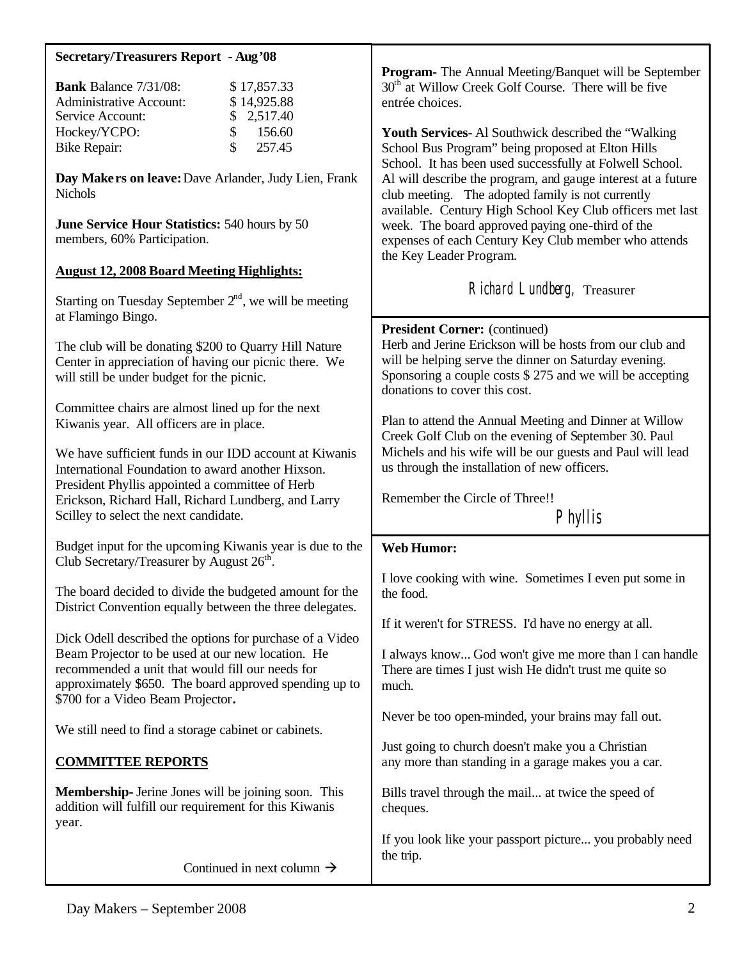| <b>Secretary/Treasurers Report - Aug '08</b>                                                                                                                                                              |                                                                                                                                                                                                                                                                                                |
|-----------------------------------------------------------------------------------------------------------------------------------------------------------------------------------------------------------|------------------------------------------------------------------------------------------------------------------------------------------------------------------------------------------------------------------------------------------------------------------------------------------------|
| <b>Bank</b> Balance 7/31/08:<br>\$17,857.33<br><b>Administrative Account:</b><br>\$14,925.88<br>Service Account:<br>2,517.40<br>\$<br>Hockey/YCPO:<br>\$<br>156.60<br>\$<br>257.45<br><b>Bike Repair:</b> | Program- The Annual Meeting/Banquet will be September<br>30 <sup>th</sup> at Willow Creek Golf Course. There will be five<br>entrée choices.<br>Youth Services-Al Southwick described the "Walking"<br>School Bus Program" being proposed at Elton Hills                                       |
| Day Makers on leave: Dave Arlander, Judy Lien, Frank<br><b>Nichols</b><br>June Service Hour Statistics: 540 hours by 50                                                                                   | School. It has been used successfully at Folwell School.<br>Al will describe the program, and gauge interest at a future<br>club meeting. The adopted family is not currently<br>available. Century High School Key Club officers met last<br>week. The board approved paying one-third of the |
| members, 60% Participation.                                                                                                                                                                               | expenses of each Century Key Club member who attends<br>the Key Leader Program.                                                                                                                                                                                                                |
| <b>August 12, 2008 Board Meeting Highlights:</b>                                                                                                                                                          |                                                                                                                                                                                                                                                                                                |
| Starting on Tuesday September $2nd$ , we will be meeting<br>at Flamingo Bingo.                                                                                                                            | Richard Lundberg, Treasurer                                                                                                                                                                                                                                                                    |
| The club will be donating \$200 to Quarry Hill Nature<br>Center in appreciation of having our picnic there. We<br>will still be under budget for the picnic.                                              | President Corner: (continued)<br>Herb and Jerine Erickson will be hosts from our club and<br>will be helping serve the dinner on Saturday evening.<br>Sponsoring a couple costs $$275$ and we will be accepting<br>donations to cover this cost.                                               |
| Committee chairs are almost lined up for the next<br>Kiwanis year. All officers are in place.                                                                                                             | Plan to attend the Annual Meeting and Dinner at Willow<br>Creek Golf Club on the evening of September 30. Paul                                                                                                                                                                                 |
| We have sufficient funds in our IDD account at Kiwanis<br>International Foundation to award another Hixson.                                                                                               | Michels and his wife will be our guests and Paul will lead<br>us through the installation of new officers.                                                                                                                                                                                     |
| President Phyllis appointed a committee of Herb<br>Erickson, Richard Hall, Richard Lundberg, and Larry<br>Scilley to select the next candidate.                                                           | Remember the Circle of Three!!<br>Phyllis                                                                                                                                                                                                                                                      |
|                                                                                                                                                                                                           |                                                                                                                                                                                                                                                                                                |
| Budget input for the upcoming Kiwanis year is due to the<br>Club Secretary/Treasurer by August $26th$ .                                                                                                   | <b>Web Humor:</b>                                                                                                                                                                                                                                                                              |
| The board decided to divide the budgeted amount for the<br>District Convention equally between the three delegates.                                                                                       | I love cooking with wine. Sometimes I even put some in<br>the food.                                                                                                                                                                                                                            |
| Dick Odell described the options for purchase of a Video                                                                                                                                                  | If it weren't for STRESS. I'd have no energy at all.                                                                                                                                                                                                                                           |
| Beam Projector to be used at our new location. He<br>recommended a unit that would fill our needs for<br>approximately \$650. The board approved spending up to<br>\$700 for a Video Beam Projector.      | I always know God won't give me more than I can handle<br>There are times I just wish He didn't trust me quite so<br>much.                                                                                                                                                                     |
| We still need to find a storage cabinet or cabinets.                                                                                                                                                      | Never be too open-minded, your brains may fall out.                                                                                                                                                                                                                                            |
| <b>COMMITTEE REPORTS</b>                                                                                                                                                                                  | Just going to church doesn't make you a Christian<br>any more than standing in a garage makes you a car.                                                                                                                                                                                       |
| <b>Membership-</b> Jerine Jones will be joining soon. This<br>addition will fulfill our requirement for this Kiwanis<br>year.                                                                             | Bills travel through the mail at twice the speed of<br>cheques.                                                                                                                                                                                                                                |
| Continued in next column $\rightarrow$                                                                                                                                                                    | If you look like your passport picture you probably need<br>the trip.                                                                                                                                                                                                                          |